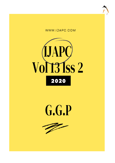





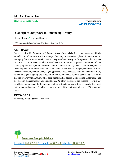

# **Int J Ayu Pharm Chem**

REVIEW ARTICLE www.ijapc.com

**e-ISSN 2350-0204**

# **Concept of** *Abhyanga* **in Enhancing Beauty**

Rashi Sharma<sup>1\*</sup> and Sunil Kumar<sup>2</sup>

<sup>1,2</sup>Department of Sharir Rachana, NIA Jaipur, Rajasthan, India

### **ABSTRACT**

Beauty is defined in *Ayurveda* as *'Subhanga Karnam*' which is basically transformation of body as well as mind to most auspicious stage. Our body is in constant phase of transformation. Managing this process of transformation is key to radiant beauty. *Abhyanga* not only improves texture and complexion of skin but also reduces muscle tension, improves circulation, induces better lymph drainage, stimulates both endocrine and exocrine systems. Today's lifestyle leads to development of immense stress which adversely affects beauty. *Abhyanga* reduces Cortisolthe stress hormone, thereby delays ageing process. Stress increases *Vata* thus making skin dry as well as signs of ageing are reflected onto skin. Abhyanga helps to pacify *Vata Dosha*. In classics of *Ayurveda*, *Abhyanga* has been mentioned as part of Daily regime (*Dincharya*) and also used in management of various ailments. An effort to explore the concept of *Abhyanga*, its effects on different body systems and its ultimate outcome that is Beauty has been highlighted in this paper. An effort is made to present the relationship between *Abhyanga* and Beauty.

## **KEYWORDS**

*Abhyanga, Beauty, Stress, Dincharya*



Received 17/06/2020 Accepted 12/08/2020 Published 10/09/2020

 $\overline{\phantom{a}}$  , and the contribution of the contribution of the contribution of the contribution of the contribution of the contribution of the contribution of the contribution of the contribution of the contribution of the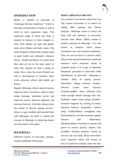

### **INTRODUCTION**

Beauty is defined in *Ayurveda* as "Subhanga Karnam Sundaram "<sup>1</sup> which is basically transformation of body as well as mind to most auspicious stage. This auspicious stage of mind and body is attained by balance of three energies ie. *Vata, Pitta, Kapha*, our *Agni* that digests food, seven *Dhatus* and body wastes. The perfect balance of these body systems leads to good health and ultimately enhances beauty. Health and Beauty are much more than what we see on the outer aspect of body, they depend on what is going on inside. Now a days the erratic lifestyle has lead to development of immense stress which adversely affects both health and beauty.

Regular *Abhyanga* reduces muscle tension, improves blood circulation, induces better lymph drainage, stimulates nerves and endocrine system, improves digestion and intestinal function. It thereby reduces stress that results in delayed Ageing process<sup>2</sup>. Hence, we get a healthy and beautiful body with *Abhyanga*. An effort to explore the concept of *Abhyanga* in enhancing beauty has been made in this paper.

### **MATERIALS**

Different Classics of *Ayurveda*, Journals, Articles published, Web media**.**

 $\mathcal{L}_\mathcal{L}$  , and the contribution of the contribution of the contribution of the contribution of the contribution of the contribution of the contribution of the contribution of the contribution of the contribution of

It is a *Sanskrit* word which comes from root '*Anj*' (means movement or to smear) by adding '*Abhi*' *upsarga* and '*Ghana*' *pratyaya*. *Abhyanga* means to smear the body with oily substance or movement towards inner *dhatus*. *Bahya snehan* is another synonym of *Abhyanga.* It is also termed as Oelation which means tremendous love and immense tenderness. Thus, we can say that it is a process which affects body and also beneficial to mind and emotions which ultimately results in complete beauty. It is a part of important therapeutic procedure in *Ayurveda* called *Panchkarma*. In *Ayurveda*, *Abhyanga* is *Jarahar*- delay of ageing process; *Sharamhar*- fatigue remover; *Vatahar*-Nervous system stress remover; *Drishtiprasadkar*- those suffering from weak eyesight should massage their feet; *Pushtikar*- makes body strong; *Ayushkar*increases longevity by creating an electro chemical balance; *Swapnakar*- induces sleep; *Twakdridhakar-* strengthens skin; *Kleshasahatwa-* provides resistance against diseases and disharmony; *Abhighatsahatwa*- resistance to injuries and power to recover quickly; *Kapha- vata nirodhak*- subsides ailments caused by mucous and *vata dosh*; *Mrija-varna-balaprad*- improves colour and texture of skin.<sup>3</sup>It should be normally done one hour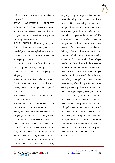

before bath and only when food taken is digested.<sup>4</sup>

# **HOW** *ABHYANGA* **AFFECTS ACCORDING TO IT'S PROPERTIES**

1*. SNIGDHA GUNA*: *snehan, kledan, vishyandanakar*. These *Gunas* are opposite to *Vata gunas* so *Vatahar*.

2.*GURU GUNA*: It is *Vatahar* by this *guna.* 3.*SHEETA GUNA*: Decrease perspiration thus helps in maintaining body temperature. 4.*MRIDU GUNA*: Decrease stiffness. Has anti-ageing property.

5*.DRAVA GUNA*: Mobilize *doshas* by increasing their flowing capacity.

6.*PICCHILA GUNA*: For longevity of *Abhyanga*.

7.*SAR GUNA*: Mobilize *Doshas* and *Malas.* 8.*MANDA GUNA*: Leads to slow diffusion through skin. Thus, longer contact period with skin.

9.*SUKSHMA GUNA*: To enter fine channels of body.

# **BENEFITS OF** *ABHYANGA* **ON OUTER BEAUTY i.e. ON SKIN**

*Acharya Charak* has mentioned benefits of *Abhyanga* in *Dincharya* as "*Sutwagbhavati cha ananam*" 5 . It nourishes the skin. The touch sensation of skin is under *Vata*  control<sup>6</sup>.This sense spreads over the entire body and is derived from the power of *Vayu*- The neuro sensory element. The role of skin is to communicate to the mind within about the outside world. Daily

 $\mathcal{L}_\mathcal{L}$  , and the contribution of the contribution of the contribution of the contribution of the contribution of the contribution of the contribution of the contribution of the contribution of the contribution of

*Abhyanga* helps to regulate *Vata* content thus maintaining complexion of skin. Stress increases *Vata* thus making skin dry as well as signs of ageing are also reflected on the skin. *Abhyanga* is done by medicated oils. Our skin is permeable to fat soluble substances. Rapid, controlled molecular transport across human skin, is of great interest for transdermal medication delivery. The main barrier is the Stratum Corneum, which consists of old dead cells, surrounded by multilamellar lipid bilayer membranes. Small lipid soluble molecules can partition into the Stratum Corneum, and then diffuse across the lipid bilayer membranes, but water-soluble molecules, particularly charged molecules, cannot penetrate significantly by this route. Preexisting aqueous pathways associated with the skin's appendages (sweat gland ducts and hair follicles) admit water soluble molecules and are believed to provide one major route for iontophoresis, in which low voltage buffers are used to move icons and molecules across skin. Essential oil molecules pass through Stratum Corneum. *Acharya Charak* has mentioned that color complexion and temperature of skin is maintained by *Bhrajak Pitta*. *Sneha* applied over Skin is digested and absorbed by *Bhrajak Pitta*.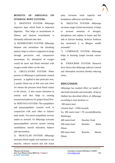

# **BENEFITS OF** *ABHYANGA* **ON INTERNAL BODY SYSTEMS-**

1) DIGESTIVE SYSTEM*- Abhyanga* improves *Agni* which leads to improved digestion. This helps in nourishment of *Dhatus* and internal nourishment is ultimately reflected onto skin.

2) RESPIRATORY SYSTEM- *Abhyanga* deepens and normalizes the breathing pattern; helps to relieve congestion in lungs through percussive and compressive movements. So, absorption of oxygen would be more and blood enriched with oxygen would reflect on the skin.

3) CIRCULATORY SYSTEM- When process of *Abhyanga* is performed, manual pressure is applied to that particular area, it pushes blood out of that area and when we release the pressure fresh blood rushes to the tissues. It also causes relaxation in arterial wall thus helps in creating unrestricted pathway for proper blood flow. 4) NERVOUS SYSTEM- The sympathetic and parasympathetic systems work in conjunction with each other to balance body needs. Too much sympathetic activity makes us stressed. So *Abhyanga* activates parasympathetic nervous system causing vasodilation, muscle relaxation, balance and rejuvenation.

5) MUSCULAR SYSTEM- *Abhyanga* increases blood supply and nutrition to our muscles, reduces muscle and soft tissue

 $\mathcal{L}_\mathcal{L}$  , and the contribution of the contribution of the contribution of the contribution of the contribution of the contribution of the contribution of the contribution of the contribution of the contribution of

pain, increases work capacity and breakdown adhesions and fibrosis.

6) SKELETAL SYSTEM- *Abhyanga* increases range of joint movements. It helps to increase retention of nitrogen, phosphorus and sulphur in bones and this aids in fracture healing. *Acharya Sushruta* has mentioned it as *Bhagna sandhi prasadak*<sup>7</sup> .

7) LYMPHATIC SYSTEM- *Abhyanga* helps in draining lymph towards correct node.

8) ENDOCRINE SYSTEM- Research have shown that *Abhyanga* reduces Cortisol and Adrenaline secretion thereby reducing stress.

### **DISCUSSION**

*Abhyanga* has marked effect on health of skin both internally and externally. *Acharya Dalhan* has described effects of *Abhyanga* according to time duration i.e.

300 *matra kaal*  (*1matra kaal* = 19/60 seconds So, 300 *matra kaal* = 95 seconds)Reaches *Romkoopa* 400 *matra kaal* Reaches *Twak* 500 *matra kaal* Reaches *Rakta Dhatu* 600 *matra kaal* Reaches *Mansa Dhatu*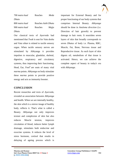

| 700 matra kaal | Reaches             | Meda  |
|----------------|---------------------|-------|
| Dhatu          |                     |       |
| 800 matra kaal | Reaches Asthi Dhatu |       |
| 900 matra kaal | Reaches             | Majja |
| Dhatu          |                     |       |

Our classical texts of *Ayurveda* had mentioned that *Twak* is seat for *Vata dosha* and *Vata sthan* is related to tactile sensory organ. When tactile sensory nerves are stimulated by Abhyanga it provides impulses to muscular, glandular, skeletal, digestive, respiratory and circulatory systems, thus improving their functioning. Head, Ear, Foot $8$  are seats of many vital *marma* points. *Abhyanga* on body stimulate these *marma* points to provide positive energy and acts as immunity booster.

### **CONCLUSION**

Recent researches and texts of *Ayurveda,* revealed an association between *Abhyanga* and health. When we are internally healthy, the skin which is a mirror image of healthy body, reflects it. That's what is called a Beauty. *Abhyanga* not only improves texture and complexion of skin but also reduces Muscle tension, improves circulation of blood, induces better lymph drainage, stimulates both endocrine and exocrine systems. It reduces the level of stress hormone, cortisol that results in delaying of ageing process which is important for External Beauty and for proper functioning of our body systems that comprises Internal Beauty. *Abhyanga* should be done in *Anuloma direction* (i.e. Direction of hair growth) to prevent damage to hair roots. It nourishes seven layers of skin that broadly corresponds to seven *Dhatus* of body i.e. Plasma, RBC, Muscle, Fat, Bone, Nervous tissue and Reproductive tissue. As each layer of skin digests oil, metabolism of that tissue is activated. Hence, we can achieve the complete aspect of beauty in today's era with *Abhyanga.*

 $\mathcal{L}_\mathcal{L}$  , and the contribution of the contribution of the contribution of the contribution of the contribution of the contribution of the contribution of the contribution of the contribution of the contribution of